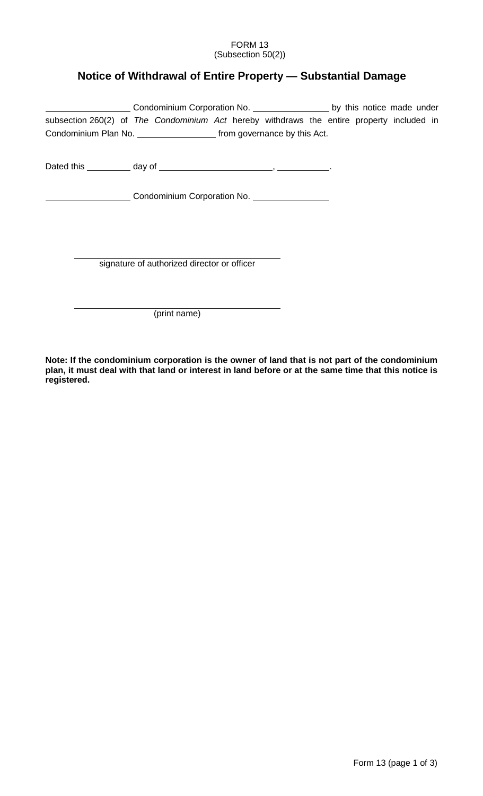## FORM 13 (Subsection 50(2))

## **Notice of Withdrawal of Entire Property — Substantial Damage**

| Condominium Corporation No. ____________________ by this notice made under                |  |  |                                                              |  |  |  |  |  |  |  |
|-------------------------------------------------------------------------------------------|--|--|--------------------------------------------------------------|--|--|--|--|--|--|--|
| subsection 260(2) of The Condominium Act hereby withdraws the entire property included in |  |  |                                                              |  |  |  |  |  |  |  |
| Condominium Plan No. ______________________ from governance by this Act.                  |  |  |                                                              |  |  |  |  |  |  |  |
|                                                                                           |  |  |                                                              |  |  |  |  |  |  |  |
|                                                                                           |  |  | Condominium Corporation No. [19] Dondominium Corporation No. |  |  |  |  |  |  |  |
|                                                                                           |  |  |                                                              |  |  |  |  |  |  |  |
|                                                                                           |  |  |                                                              |  |  |  |  |  |  |  |
|                                                                                           |  |  | signature of authorized director or officer                  |  |  |  |  |  |  |  |
|                                                                                           |  |  | (print name)                                                 |  |  |  |  |  |  |  |

**Note: If the condominium corporation is the owner of land that is not part of the condominium plan, it must deal with that land or interest in land before or at the same time that this notice is registered.**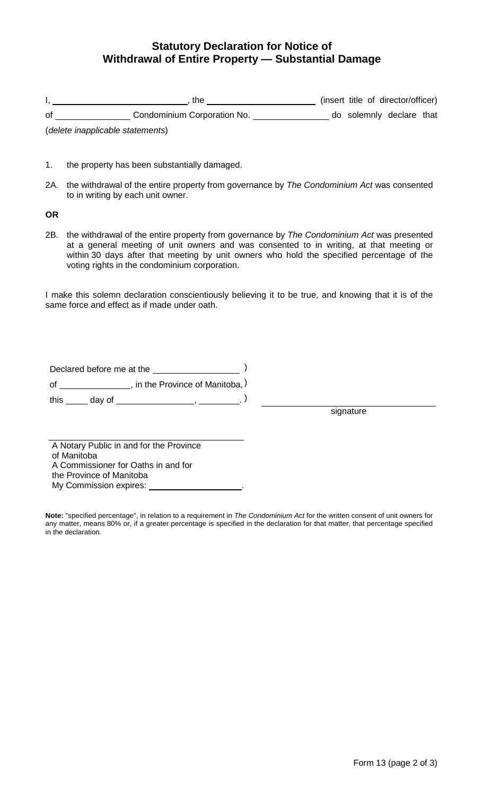## **Statutory Declaration for Notice of Withdrawal of Entire Property — Substantial Damage**

|    | the                                  |  | (insert title of director/officer) |  |
|----|--------------------------------------|--|------------------------------------|--|
| 0f | Condominium Corporation No.          |  | do solemnly declare that           |  |
|    | (alalata inanusliaak la atatamaanta) |  |                                    |  |

(*delete inapplicable statements*)

- 1. the property has been substantially damaged.
- 2A. the withdrawal of the entire property from governance by *The Condominium Act* was consented to in writing by each unit owner.

**OR**

2B. the withdrawal of the entire property from governance by *The Condominium Act* was presented at a general meeting of unit owners and was consented to in writing, at that meeting or within 30 days after that meeting by unit owners who hold the specified percentage of the voting rights in the condominium corporation.

I make this solemn declaration conscientiously believing it to be true, and knowing that it is of the same force and effect as if made under oath.

Declared before me at the **container the set of the set of the set of the set of the set of the set of the set of the set of the set of the set of the set of the set of the set of the set of the set of the set of the set o** of \_\_\_\_\_\_\_\_\_\_\_\_\_\_\_\_, in the Province of Manitoba,  $)$ this \_\_\_\_\_ day of \_\_\_\_\_\_\_\_\_\_\_\_\_\_\_\_\_\_, \_\_\_\_\_\_\_\_. )

signature

A Notary Public in and for the Province of Manitoba A Commissioner for Oaths in and for the Province of Manitoba My Commission expires:

**Note:** "specified percentage", in relation to a requirement in *The Condominium Act* for the written consent of unit owners for any matter, means 80% or, if a greater percentage is specified in the declaration for that matter, that percentage specified in the declaration.